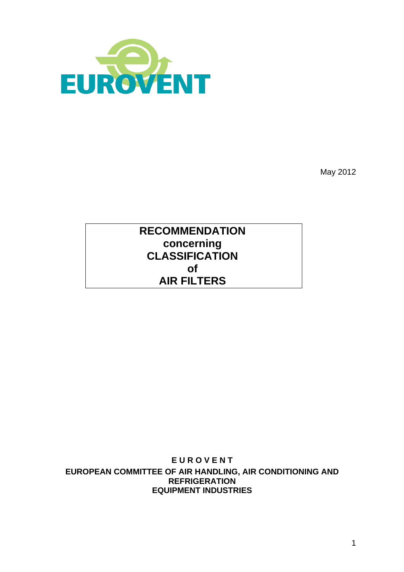

May 2012

# **RECOMMENDATION concerning CLASSIFICATION of AIR FILTERS**

**E U R O V E N T EUROPEAN COMMITTEE OF AIR HANDLING, AIR CONDITIONING AND REFRIGERATION EQUIPMENT INDUSTRIES**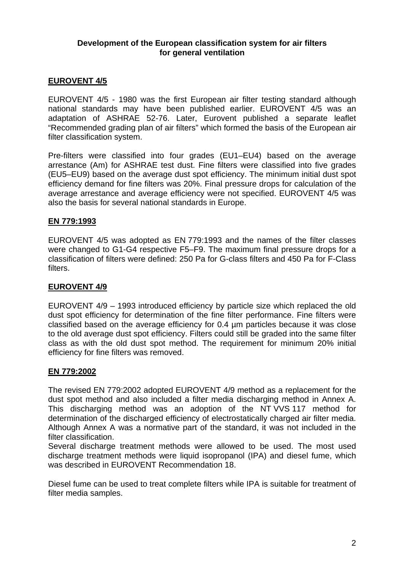#### **Development of the European classification system for air filters for general ventilation**

# **EUROVENT 4/5**

EUROVENT 4/5 - 1980 was the first European air filter testing standard although national standards may have been published earlier. EUROVENT 4/5 was an adaptation of ASHRAE 52-76. Later, Eurovent published a separate leaflet "Recommended grading plan of air filters" which formed the basis of the European air filter classification system.

Pre-filters were classified into four grades (EU1–EU4) based on the average arrestance (Am) for ASHRAE test dust. Fine filters were classified into five grades (EU5–EU9) based on the average dust spot efficiency. The minimum initial dust spot efficiency demand for fine filters was 20%. Final pressure drops for calculation of the average arrestance and average efficiency were not specified. EUROVENT 4/5 was also the basis for several national standards in Europe.

#### **EN 779:1993**

EUROVENT 4/5 was adopted as EN 779:1993 and the names of the filter classes were changed to G1-G4 respective F5–F9. The maximum final pressure drops for a classification of filters were defined: 250 Pa for G-class filters and 450 Pa for F-Class filters.

#### **EUROVENT 4/9**

EUROVENT 4/9 – 1993 introduced efficiency by particle size which replaced the old dust spot efficiency for determination of the fine filter performance. Fine filters were classified based on the average efficiency for 0.4 µm particles because it was close to the old average dust spot efficiency. Filters could still be graded into the same filter class as with the old dust spot method. The requirement for minimum 20% initial efficiency for fine filters was removed.

#### **EN 779:2002**

The revised EN 779:2002 adopted EUROVENT 4/9 method as a replacement for the dust spot method and also included a filter media discharging method in Annex A. This discharging method was an adoption of the NT VVS 117 method for determination of the discharged efficiency of electrostatically charged air filter media. Although Annex A was a normative part of the standard, it was not included in the filter classification.

Several discharge treatment methods were allowed to be used. The most used discharge treatment methods were liquid isopropanol (IPA) and diesel fume, which was described in EUROVENT Recommendation 18.

Diesel fume can be used to treat complete filters while IPA is suitable for treatment of filter media samples.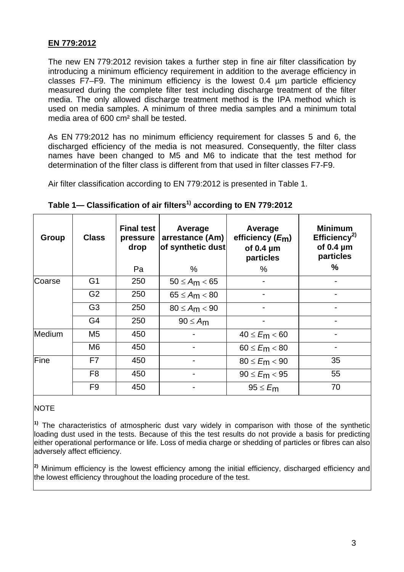# **EN 779:2012**

The new EN 779:2012 revision takes a further step in fine air filter classification by introducing a minimum efficiency requirement in addition to the average efficiency in classes F7–F9. The minimum efficiency is the lowest 0.4 µm particle efficiency measured during the complete filter test including discharge treatment of the filter media. The only allowed discharge treatment method is the IPA method which is used on media samples. A minimum of three media samples and a minimum total media area of 600 cm² shall be tested.

As EN 779:2012 has no minimum efficiency requirement for classes 5 and 6, the discharged efficiency of the media is not measured. Consequently, the filter class names have been changed to M5 and M6 to indicate that the test method for determination of the filter class is different from that used in filter classes F7-F9.

Air filter classification according to EN 779:2012 is presented in Table 1.

| <b>Group</b> | <b>Class</b>   | <b>Final test</b><br>pressure<br>drop | Average<br>arrestance (Am)<br>of synthetic dust | Average<br>efficiency (Em)<br>of $0.4 \mu m$<br>particles | <b>Minimum</b><br>Efficiency <sup>2)</sup><br>of $0.4 \mu m$<br>particles |
|--------------|----------------|---------------------------------------|-------------------------------------------------|-----------------------------------------------------------|---------------------------------------------------------------------------|
|              |                | Pa                                    | %                                               | $\%$                                                      | $\frac{0}{0}$                                                             |
| Coarse       | G <sub>1</sub> | 250                                   | $50 \leq A_{m} < 65$                            |                                                           |                                                                           |
|              | G <sub>2</sub> | 250                                   | $65 \leq A_{m} < 80$                            |                                                           |                                                                           |
|              | G <sub>3</sub> | 250                                   | $80 \le A_m < 90$                               |                                                           |                                                                           |
|              | G <sub>4</sub> | 250                                   | $90 \leq A_{m}$                                 |                                                           |                                                                           |
| Medium       | M5             | 450                                   |                                                 | $40 \le F_{m} < 60$                                       |                                                                           |
|              | M6             | 450                                   |                                                 | $60 \le E_{\rm m} < 80$                                   |                                                                           |
| <b>Fine</b>  | F7             | 450                                   |                                                 | $80 \le E_{\rm m} < 90$                                   | 35                                                                        |
|              | F <sub>8</sub> | 450                                   |                                                 | $90 \le E_{m} < 95$                                       | 55                                                                        |
|              | F <sub>9</sub> | 450                                   |                                                 | $95 \leq E_{\rm m}$                                       | 70                                                                        |

Table 1– Classification of air filters<sup>1)</sup> according to EN 779:2012

### **NOTE**

<sup>1)</sup> The characteristics of atmospheric dust vary widely in comparison with those of the synthetic loading dust used in the tests. Because of this the test results do not provide a basis for predicting either operational performance or life. Loss of media charge or shedding of particles or fibres can also adversely affect efficiency.

**2)** Minimum efficiency is the lowest efficiency among the initial efficiency, discharged efficiency and the lowest efficiency throughout the loading procedure of the test.